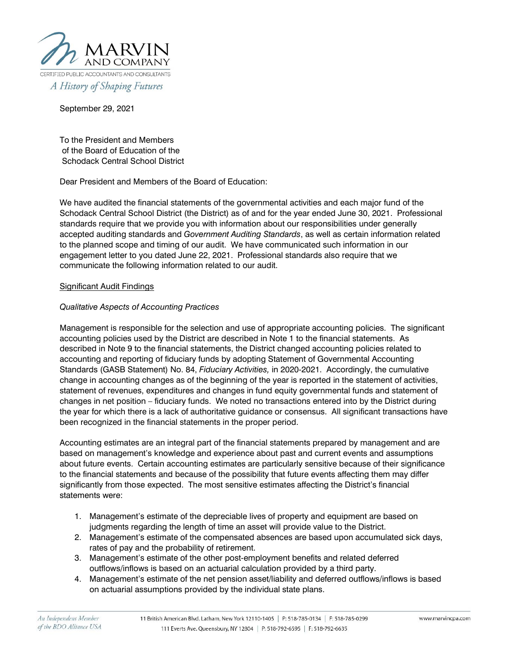

September 29, 2021

To the President and Members of the Board of Education of the Schodack Central School District

Dear President and Members of the Board of Education:

We have audited the financial statements of the governmental activities and each major fund of the Schodack Central School District (the District) as of and for the year ended June 30, 2021. Professional standards require that we provide you with information about our responsibilities under generally accepted auditing standards and *Government Auditing Standards*, as well as certain information related to the planned scope and timing of our audit. We have communicated such information in our engagement letter to you dated June 22, 2021. Professional standards also require that we communicate the following information related to our audit.

# Significant Audit Findings

## *Qualitative Aspects of Accounting Practices*

Management is responsible for the selection and use of appropriate accounting policies. The significant accounting policies used by the District are described in Note 1 to the financial statements. As described in Note 9 to the financial statements, the District changed accounting policies related to accounting and reporting of fiduciary funds by adopting Statement of Governmental Accounting Standards (GASB Statement) No. 84, *Fiduciary Activities,* in 2020-2021. Accordingly, the cumulative change in accounting changes as of the beginning of the year is reported in the statement of activities, statement of revenues, expenditures and changes in fund equity governmental funds and statement of changes in net position – fiduciary funds. We noted no transactions entered into by the District during the year for which there is a lack of authoritative guidance or consensus. All significant transactions have been recognized in the financial statements in the proper period.

Accounting estimates are an integral part of the financial statements prepared by management and are based on management's knowledge and experience about past and current events and assumptions about future events. Certain accounting estimates are particularly sensitive because of their significance to the financial statements and because of the possibility that future events affecting them may differ significantly from those expected. The most sensitive estimates affecting the District's financial statements were:

- 1. Management's estimate of the depreciable lives of property and equipment are based on judgments regarding the length of time an asset will provide value to the District.
- 2. Management's estimate of the compensated absences are based upon accumulated sick days, rates of pay and the probability of retirement.
- 3. Management's estimate of the other post-employment benefits and related deferred outflows/inflows is based on an actuarial calculation provided by a third party.
- 4. Management's estimate of the net pension asset/liability and deferred outflows/inflows is based on actuarial assumptions provided by the individual state plans.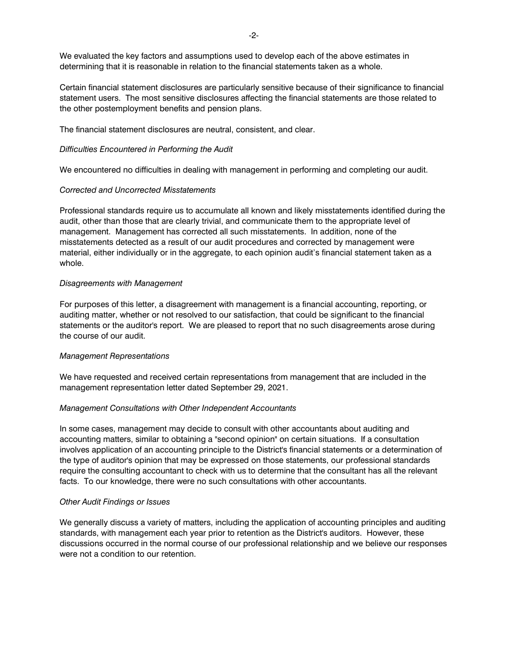We evaluated the key factors and assumptions used to develop each of the above estimates in determining that it is reasonable in relation to the financial statements taken as a whole.

Certain financial statement disclosures are particularly sensitive because of their significance to financial statement users. The most sensitive disclosures affecting the financial statements are those related to the other postemployment benefits and pension plans.

The financial statement disclosures are neutral, consistent, and clear.

### *Difficulties Encountered in Performing the Audit*

We encountered no difficulties in dealing with management in performing and completing our audit.

#### *Corrected and Uncorrected Misstatements*

Professional standards require us to accumulate all known and likely misstatements identified during the audit, other than those that are clearly trivial, and communicate them to the appropriate level of management. Management has corrected all such misstatements. In addition, none of the misstatements detected as a result of our audit procedures and corrected by management were material, either individually or in the aggregate, to each opinion audit's financial statement taken as a whole.

#### *Disagreements with Management*

For purposes of this letter, a disagreement with management is a financial accounting, reporting, or auditing matter, whether or not resolved to our satisfaction, that could be significant to the financial statements or the auditor's report. We are pleased to report that no such disagreements arose during the course of our audit.

### *Management Representations*

We have requested and received certain representations from management that are included in the management representation letter dated September 29, 2021.

### *Management Consultations with Other Independent Accountants*

In some cases, management may decide to consult with other accountants about auditing and accounting matters, similar to obtaining a "second opinion" on certain situations. If a consultation involves application of an accounting principle to the District's financial statements or a determination of the type of auditor's opinion that may be expressed on those statements, our professional standards require the consulting accountant to check with us to determine that the consultant has all the relevant facts. To our knowledge, there were no such consultations with other accountants.

### *Other Audit Findings or Issues*

We generally discuss a variety of matters, including the application of accounting principles and auditing standards, with management each year prior to retention as the District's auditors. However, these discussions occurred in the normal course of our professional relationship and we believe our responses were not a condition to our retention.